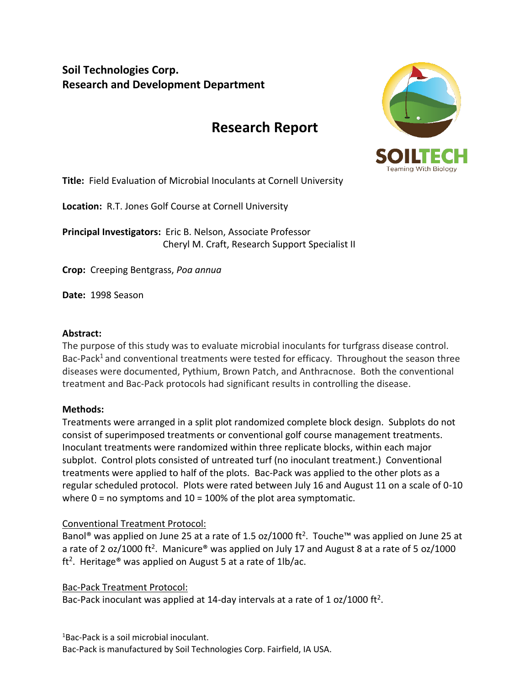# **Soil Technologies Corp. Research and Development Department**

# **Research Report**



**Title:** Field Evaluation of Microbial Inoculants at Cornell University

**Location:** R.T. Jones Golf Course at Cornell University

**Principal Investigators:** Eric B. Nelson, Associate Professor Cheryl M. Craft, Research Support Specialist II

**Crop:** Creeping Bentgrass, *Poa annua*

**Date:** 1998 Season

#### **Abstract:**

The purpose of this study was to evaluate microbial inoculants for turfgrass disease control. Bac-Pack<sup>1</sup> and conventional treatments were tested for efficacy. Throughout the season three diseases were documented, Pythium, Brown Patch, and Anthracnose. Both the conventional treatment and Bac-Pack protocols had significant results in controlling the disease.

## **Methods:**

Treatments were arranged in a split plot randomized complete block design. Subplots do not consist of superimposed treatments or conventional golf course management treatments. Inoculant treatments were randomized within three replicate blocks, within each major subplot. Control plots consisted of untreated turf (no inoculant treatment.) Conventional treatments were applied to half of the plots. Bac-Pack was applied to the other plots as a regular scheduled protocol. Plots were rated between July 16 and August 11 on a scale of 0-10 where  $0 = no$  symptoms and  $10 = 100\%$  of the plot area symptomatic.

## Conventional Treatment Protocol:

Banol<sup>®</sup> was applied on June 25 at a rate of 1.5 oz/1000 ft<sup>2</sup>. Touche<sup>™</sup> was applied on June 25 at a rate of 2 oz/1000 ft<sup>2</sup>. Manicure® was applied on July 17 and August 8 at a rate of 5 oz/1000 ft<sup>2</sup>. Heritage® was applied on August 5 at a rate of 1lb/ac.

Bac-Pack Treatment Protocol:

Bac-Pack inoculant was applied at 14-day intervals at a rate of 1 oz/1000 ft<sup>2</sup>.

<sup>1</sup>Bac-Pack is a soil microbial inoculant. Bac-Pack is manufactured by Soil Technologies Corp. Fairfield, IA USA.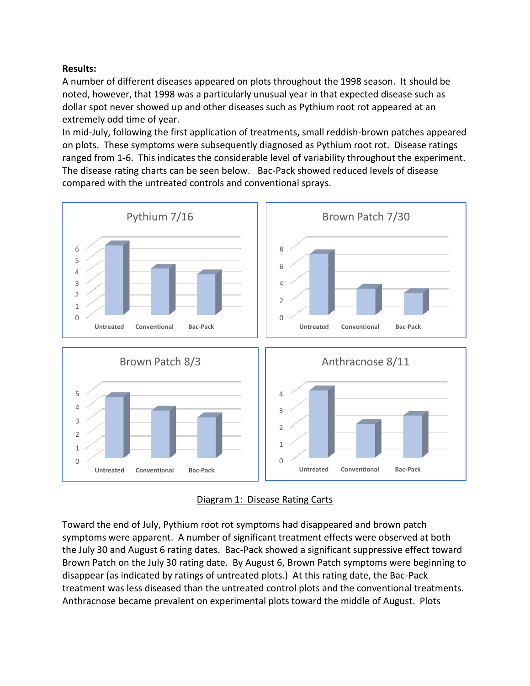#### **Results:**

A number of different diseases appeared on plots throughout the 1998 season. It should be noted, however, that 1998 was a particularly unusual year in that expected disease such as dollar spot never showed up and other diseases such as Pythium root rot appeared at an extremely odd time of year.

In mid-July, following the first application of treatments, small reddish-brown patches appeared on plots. These symptoms were subsequently diagnosed as Pythium root rot. Disease ratings ranged from 1-6. This indicates the considerable level of variability throughout the experiment. The disease rating charts can be seen below. Bac-Pack showed reduced levels of disease compared with the untreated controls and conventional sprays.



## Diagram 1: Disease Rating Carts

Toward the end of July, Pythium root rot symptoms had disappeared and brown patch symptoms were apparent. A number of significant treatment effects were observed at both the July 30 and August 6 rating dates. Bac-Pack showed a significant suppressive effect toward Brown Patch on the July 30 rating date. By August 6, Brown Patch symptoms were beginning to disappear (as indicated by ratings of untreated plots.) At this rating date, the Bac-Pack treatment was less diseased than the untreated control plots and the conventional treatments. Anthracnose became prevalent on experimental plots toward the middle of August. Plots